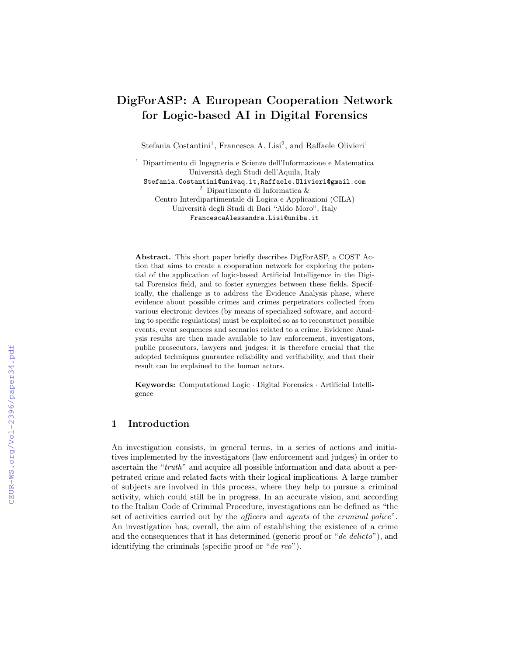# DigForASP: A European Cooperation Network for Logic-based AI in Digital Forensics

Stefania Costantini<sup>1</sup>, Francesca A. Lisi<sup>2</sup>, and Raffaele Olivieri<sup>1</sup>

<sup>1</sup> Dipartimento di Ingegneria e Scienze dell'Informazione e Matematica Università degli Studi dell'Aquila, Italy Stefania.Costantini@univaq.it,Raffaele.Olivieri@gmail.com

<sup>2</sup> Dipartimento di Informatica &

Centro Interdipartimentale di Logica e Applicazioni (CILA) Università degli Studi di Bari "Aldo Moro", Italy FrancescaAlessandra.Lisi@uniba.it

Abstract. This short paper briefly describes DigForASP, a COST Action that aims to create a cooperation network for exploring the potential of the application of logic-based Artificial Intelligence in the Digital Forensics field, and to foster synergies between these fields. Specifically, the challenge is to address the Evidence Analysis phase, where evidence about possible crimes and crimes perpetrators collected from various electronic devices (by means of specialized software, and according to specific regulations) must be exploited so as to reconstruct possible events, event sequences and scenarios related to a crime. Evidence Analysis results are then made available to law enforcement, investigators, public prosecutors, lawyers and judges: it is therefore crucial that the adopted techniques guarantee reliability and verifiability, and that their result can be explained to the human actors.

Keywords: Computational Logic · Digital Forensics · Artificial Intelligence

# 1 Introduction

An investigation consists, in general terms, in a series of actions and initiatives implemented by the investigators (law enforcement and judges) in order to ascertain the "truth" and acquire all possible information and data about a perpetrated crime and related facts with their logical implications. A large number of subjects are involved in this process, where they help to pursue a criminal activity, which could still be in progress. In an accurate vision, and according to the Italian Code of Criminal Procedure, investigations can be defined as "the set of activities carried out by the *officers* and *agents* of the *criminal police*". An investigation has, overall, the aim of establishing the existence of a crime and the consequences that it has determined (generic proof or "de delicto"), and identifying the criminals (specific proof or "de reo").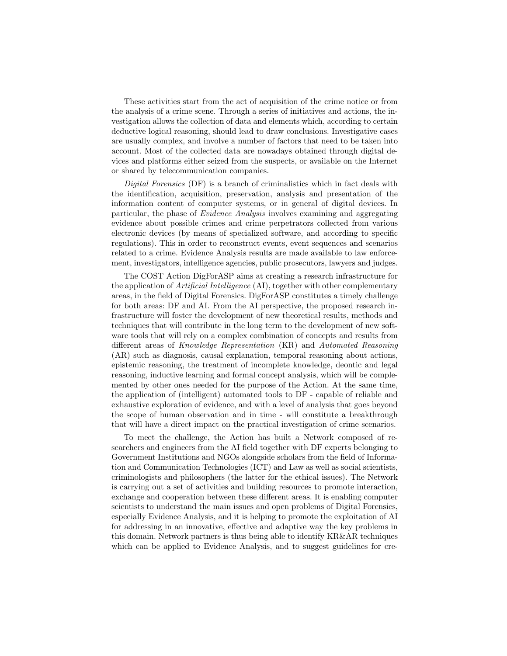These activities start from the act of acquisition of the crime notice or from the analysis of a crime scene. Through a series of initiatives and actions, the investigation allows the collection of data and elements which, according to certain deductive logical reasoning, should lead to draw conclusions. Investigative cases are usually complex, and involve a number of factors that need to be taken into account. Most of the collected data are nowadays obtained through digital devices and platforms either seized from the suspects, or available on the Internet or shared by telecommunication companies.

Digital Forensics (DF) is a branch of criminalistics which in fact deals with the identification, acquisition, preservation, analysis and presentation of the information content of computer systems, or in general of digital devices. In particular, the phase of Evidence Analysis involves examining and aggregating evidence about possible crimes and crime perpetrators collected from various electronic devices (by means of specialized software, and according to specific regulations). This in order to reconstruct events, event sequences and scenarios related to a crime. Evidence Analysis results are made available to law enforcement, investigators, intelligence agencies, public prosecutors, lawyers and judges.

The COST Action DigForASP aims at creating a research infrastructure for the application of Artificial Intelligence (AI), together with other complementary areas, in the field of Digital Forensics. DigForASP constitutes a timely challenge for both areas: DF and AI. From the AI perspective, the proposed research infrastructure will foster the development of new theoretical results, methods and techniques that will contribute in the long term to the development of new software tools that will rely on a complex combination of concepts and results from different areas of Knowledge Representation (KR) and Automated Reasoning (AR) such as diagnosis, causal explanation, temporal reasoning about actions, epistemic reasoning, the treatment of incomplete knowledge, deontic and legal reasoning, inductive learning and formal concept analysis, which will be complemented by other ones needed for the purpose of the Action. At the same time, the application of (intelligent) automated tools to DF - capable of reliable and exhaustive exploration of evidence, and with a level of analysis that goes beyond the scope of human observation and in time - will constitute a breakthrough that will have a direct impact on the practical investigation of crime scenarios.

To meet the challenge, the Action has built a Network composed of researchers and engineers from the AI field together with DF experts belonging to Government Institutions and NGOs alongside scholars from the field of Information and Communication Technologies (ICT) and Law as well as social scientists, criminologists and philosophers (the latter for the ethical issues). The Network is carrying out a set of activities and building resources to promote interaction, exchange and cooperation between these different areas. It is enabling computer scientists to understand the main issues and open problems of Digital Forensics, especially Evidence Analysis, and it is helping to promote the exploitation of AI for addressing in an innovative, effective and adaptive way the key problems in this domain. Network partners is thus being able to identify KR&AR techniques which can be applied to Evidence Analysis, and to suggest guidelines for cre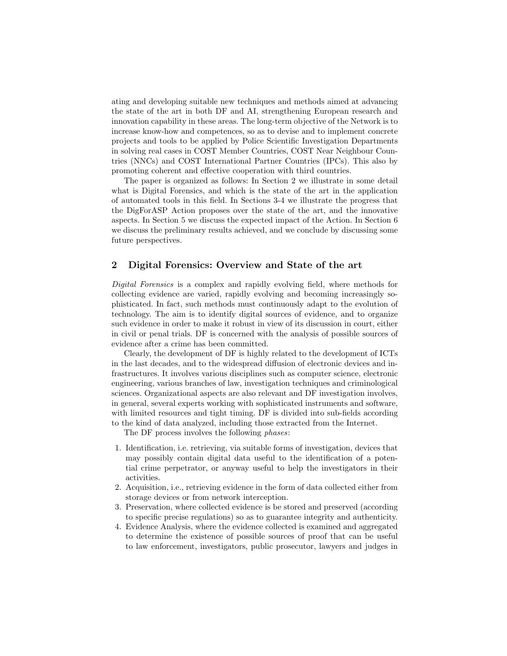ating and developing suitable new techniques and methods aimed at advancing the state of the art in both DF and AI, strengthening European research and innovation capability in these areas. The long-term objective of the Network is to increase know-how and competences, so as to devise and to implement concrete projects and tools to be applied by Police Scientific Investigation Departments in solving real cases in COST Member Countries, COST Near Neighbour Countries (NNCs) and COST International Partner Countries (IPCs). This also by promoting coherent and effective cooperation with third countries.

The paper is organized as follows: In Section 2 we illustrate in some detail what is Digital Forensics, and which is the state of the art in the application of automated tools in this field. In Sections 3-4 we illustrate the progress that the DigForASP Action proposes over the state of the art, and the innovative aspects. In Section 5 we discuss the expected impact of the Action. In Section 6 we discuss the preliminary results achieved, and we conclude by discussing some future perspectives.

#### 2 Digital Forensics: Overview and State of the art

Digital Forensics is a complex and rapidly evolving field, where methods for collecting evidence are varied, rapidly evolving and becoming increasingly sophisticated. In fact, such methods must continuously adapt to the evolution of technology. The aim is to identify digital sources of evidence, and to organize such evidence in order to make it robust in view of its discussion in court, either in civil or penal trials. DF is concerned with the analysis of possible sources of evidence after a crime has been committed.

Clearly, the development of DF is highly related to the development of ICTs in the last decades, and to the widespread diffusion of electronic devices and infrastructures. It involves various disciplines such as computer science, electronic engineering, various branches of law, investigation techniques and criminological sciences. Organizational aspects are also relevant and DF investigation involves, in general, several experts working with sophisticated instruments and software, with limited resources and tight timing. DF is divided into sub-fields according to the kind of data analyzed, including those extracted from the Internet.

The DF process involves the following phases:

- 1. Identification, i.e. retrieving, via suitable forms of investigation, devices that may possibly contain digital data useful to the identification of a potential crime perpetrator, or anyway useful to help the investigators in their activities.
- 2. Acquisition, i.e., retrieving evidence in the form of data collected either from storage devices or from network interception.
- 3. Preservation, where collected evidence is be stored and preserved (according to specific precise regulations) so as to guarantee integrity and authenticity.
- 4. Evidence Analysis, where the evidence collected is examined and aggregated to determine the existence of possible sources of proof that can be useful to law enforcement, investigators, public prosecutor, lawyers and judges in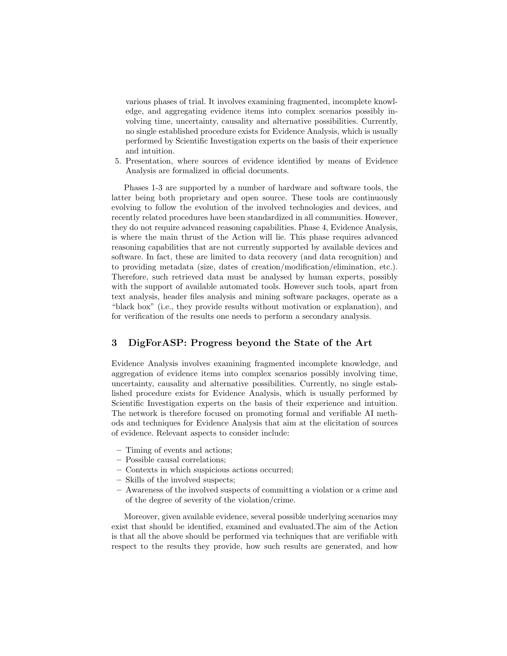various phases of trial. It involves examining fragmented, incomplete knowledge, and aggregating evidence items into complex scenarios possibly involving time, uncertainty, causality and alternative possibilities. Currently, no single established procedure exists for Evidence Analysis, which is usually performed by Scientific Investigation experts on the basis of their experience and intuition.

5. Presentation, where sources of evidence identified by means of Evidence Analysis are formalized in official documents.

Phases 1-3 are supported by a number of hardware and software tools, the latter being both proprietary and open source. These tools are continuously evolving to follow the evolution of the involved technologies and devices, and recently related procedures have been standardized in all communities. However, they do not require advanced reasoning capabilities. Phase 4, Evidence Analysis, is where the main thrust of the Action will lie. This phase requires advanced reasoning capabilities that are not currently supported by available devices and software. In fact, these are limited to data recovery (and data recognition) and to providing metadata (size, dates of creation/modification/elimination, etc.). Therefore, such retrieved data must be analysed by human experts, possibly with the support of available automated tools. However such tools, apart from text analysis, header files analysis and mining software packages, operate as a "black box" (i.e., they provide results without motivation or explanation), and for verification of the results one needs to perform a secondary analysis.

# 3 DigForASP: Progress beyond the State of the Art

Evidence Analysis involves examining fragmented incomplete knowledge, and aggregation of evidence items into complex scenarios possibly involving time, uncertainty, causality and alternative possibilities. Currently, no single established procedure exists for Evidence Analysis, which is usually performed by Scientific Investigation experts on the basis of their experience and intuition. The network is therefore focused on promoting formal and verifiable AI methods and techniques for Evidence Analysis that aim at the elicitation of sources of evidence. Relevant aspects to consider include:

- Timing of events and actions;
- Possible causal correlations;
- Contexts in which suspicious actions occurred;
- Skills of the involved suspects;
- Awareness of the involved suspects of committing a violation or a crime and of the degree of severity of the violation/crime.

Moreover, given available evidence, several possible underlying scenarios may exist that should be identified, examined and evaluated.The aim of the Action is that all the above should be performed via techniques that are verifiable with respect to the results they provide, how such results are generated, and how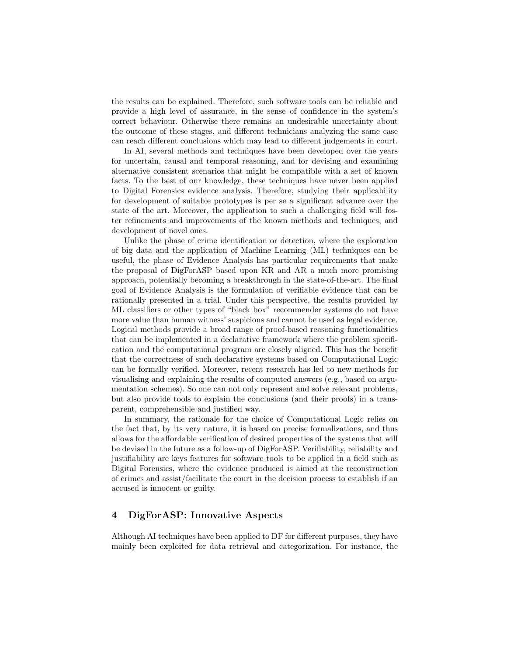the results can be explained. Therefore, such software tools can be reliable and provide a high level of assurance, in the sense of confidence in the system's correct behaviour. Otherwise there remains an undesirable uncertainty about the outcome of these stages, and different technicians analyzing the same case can reach different conclusions which may lead to different judgements in court.

In AI, several methods and techniques have been developed over the years for uncertain, causal and temporal reasoning, and for devising and examining alternative consistent scenarios that might be compatible with a set of known facts. To the best of our knowledge, these techniques have never been applied to Digital Forensics evidence analysis. Therefore, studying their applicability for development of suitable prototypes is per se a significant advance over the state of the art. Moreover, the application to such a challenging field will foster refinements and improvements of the known methods and techniques, and development of novel ones.

Unlike the phase of crime identification or detection, where the exploration of big data and the application of Machine Learning (ML) techniques can be useful, the phase of Evidence Analysis has particular requirements that make the proposal of DigForASP based upon KR and AR a much more promising approach, potentially becoming a breakthrough in the state-of-the-art. The final goal of Evidence Analysis is the formulation of verifiable evidence that can be rationally presented in a trial. Under this perspective, the results provided by ML classifiers or other types of "black box" recommender systems do not have more value than human witness' suspicions and cannot be used as legal evidence. Logical methods provide a broad range of proof-based reasoning functionalities that can be implemented in a declarative framework where the problem specification and the computational program are closely aligned. This has the benefit that the correctness of such declarative systems based on Computational Logic can be formally verified. Moreover, recent research has led to new methods for visualising and explaining the results of computed answers (e.g., based on argumentation schemes). So one can not only represent and solve relevant problems, but also provide tools to explain the conclusions (and their proofs) in a transparent, comprehensible and justified way.

In summary, the rationale for the choice of Computational Logic relies on the fact that, by its very nature, it is based on precise formalizations, and thus allows for the affordable verification of desired properties of the systems that will be devised in the future as a follow-up of DigForASP. Verifiability, reliability and justifiability are keys features for software tools to be applied in a field such as Digital Forensics, where the evidence produced is aimed at the reconstruction of crimes and assist/facilitate the court in the decision process to establish if an accused is innocent or guilty.

# 4 DigForASP: Innovative Aspects

Although AI techniques have been applied to DF for different purposes, they have mainly been exploited for data retrieval and categorization. For instance, the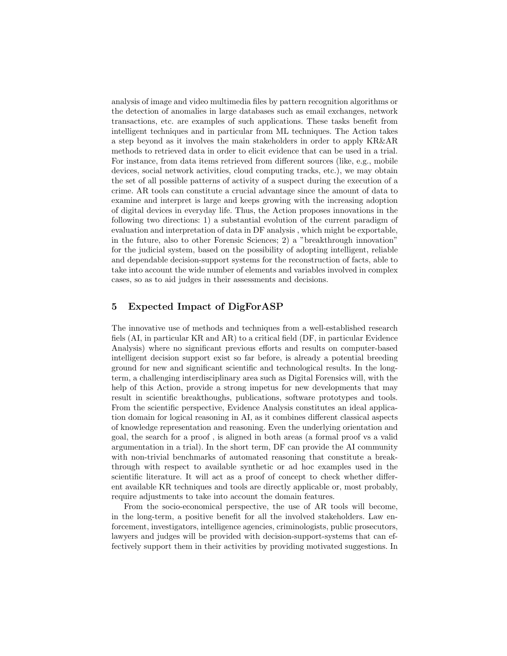analysis of image and video multimedia files by pattern recognition algorithms or the detection of anomalies in large databases such as email exchanges, network transactions, etc. are examples of such applications. These tasks benefit from intelligent techniques and in particular from ML techniques. The Action takes a step beyond as it involves the main stakeholders in order to apply KR&AR methods to retrieved data in order to elicit evidence that can be used in a trial. For instance, from data items retrieved from different sources (like, e.g., mobile devices, social network activities, cloud computing tracks, etc.), we may obtain the set of all possible patterns of activity of a suspect during the execution of a crime. AR tools can constitute a crucial advantage since the amount of data to examine and interpret is large and keeps growing with the increasing adoption of digital devices in everyday life. Thus, the Action proposes innovations in the following two directions: 1) a substantial evolution of the current paradigm of evaluation and interpretation of data in DF analysis , which might be exportable, in the future, also to other Forensic Sciences; 2) a "breakthrough innovation" for the judicial system, based on the possibility of adopting intelligent, reliable and dependable decision-support systems for the reconstruction of facts, able to take into account the wide number of elements and variables involved in complex cases, so as to aid judges in their assessments and decisions.

## 5 Expected Impact of DigForASP

The innovative use of methods and techniques from a well-established research fiels (AI, in particular KR and AR) to a critical field (DF, in particular Evidence Analysis) where no significant previous efforts and results on computer-based intelligent decision support exist so far before, is already a potential breeding ground for new and significant scientific and technological results. In the longterm, a challenging interdisciplinary area such as Digital Forensics will, with the help of this Action, provide a strong impetus for new developments that may result in scientific breakthoughs, publications, software prototypes and tools. From the scientific perspective, Evidence Analysis constitutes an ideal application domain for logical reasoning in AI, as it combines different classical aspects of knowledge representation and reasoning. Even the underlying orientation and goal, the search for a proof , is aligned in both areas (a formal proof vs a valid argumentation in a trial). In the short term, DF can provide the AI community with non-trivial benchmarks of automated reasoning that constitute a breakthrough with respect to available synthetic or ad hoc examples used in the scientific literature. It will act as a proof of concept to check whether different available KR techniques and tools are directly applicable or, most probably, require adjustments to take into account the domain features.

From the socio-economical perspective, the use of AR tools will become, in the long-term, a positive benefit for all the involved stakeholders. Law enforcement, investigators, intelligence agencies, criminologists, public prosecutors, lawyers and judges will be provided with decision-support-systems that can effectively support them in their activities by providing motivated suggestions. In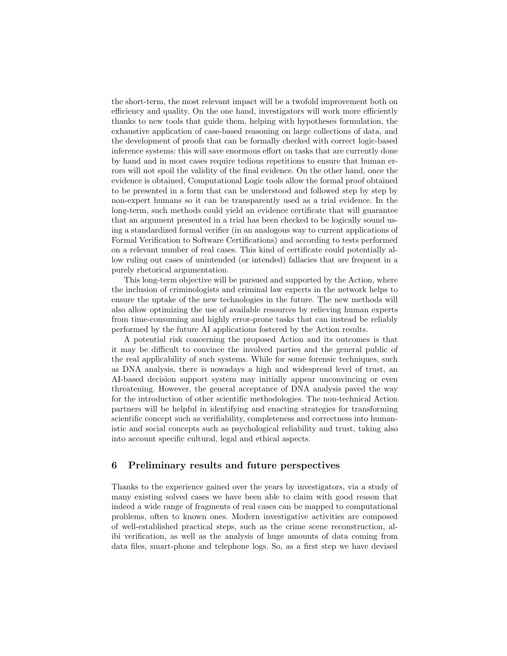the short-term, the most relevant impact will be a twofold improvement both on efficiency and quality. On the one hand, investigators will work more efficiently thanks to new tools that guide them, helping with hypotheses formulation, the exhaustive application of case-based reasoning on large collections of data, and the development of proofs that can be formally checked with correct logic-based inference systems: this will save enormous effort on tasks that are currently done by hand and in most cases require tedious repetitions to ensure that human errors will not spoil the validity of the final evidence. On the other hand, once the evidence is obtained, Computational Logic tools allow the formal proof obtained to be presented in a form that can be understood and followed step by step by non-expert humans so it can be transparently used as a trial evidence. In the long-term, such methods could yield an evidence certificate that will guarantee that an argument presented in a trial has been checked to be logically sound using a standardized formal verifier (in an analogous way to current applications of Formal Verification to Software Certifications) and according to tests performed on a relevant number of real cases. This kind of certificate could potentially allow ruling out cases of unintended (or intended) fallacies that are frequent in a purely rhetorical argumentation.

This long-term objective will be pursued and supported by the Action, where the inclusion of criminologists and criminal law experts in the network helps to ensure the uptake of the new technologies in the future. The new methods will also allow optimizing the use of available resources by relieving human experts from time-consuming and highly error-prone tasks that can instead be reliably performed by the future AI applications fostered by the Action results.

A potential risk concerning the proposed Action and its outcomes is that it may be difficult to convince the involved parties and the general public of the real applicability of such systems. While for some forensic techniques, such as DNA analysis, there is nowadays a high and widespread level of trust, an AI-based decision support system may initially appear unconvincing or even threatening. However, the general acceptance of DNA analysis paved the way for the introduction of other scientific methodologies. The non-technical Action partners will be helpful in identifying and enacting strategies for transforming scientific concept such as verifiability, completeness and correctness into humanistic and social concepts such as psychological reliability and trust, taking also into account specific cultural, legal and ethical aspects.

## 6 Preliminary results and future perspectives

Thanks to the experience gained over the years by investigators, via a study of many existing solved cases we have been able to claim with good reason that indeed a wide range of fragments of real cases can be mapped to computational problems, often to known ones. Modern investigative activities are composed of well-established practical steps, such as the crime scene reconstruction, alibi verification, as well as the analysis of huge amounts of data coming from data files, smart-phone and telephone logs. So, as a first step we have devised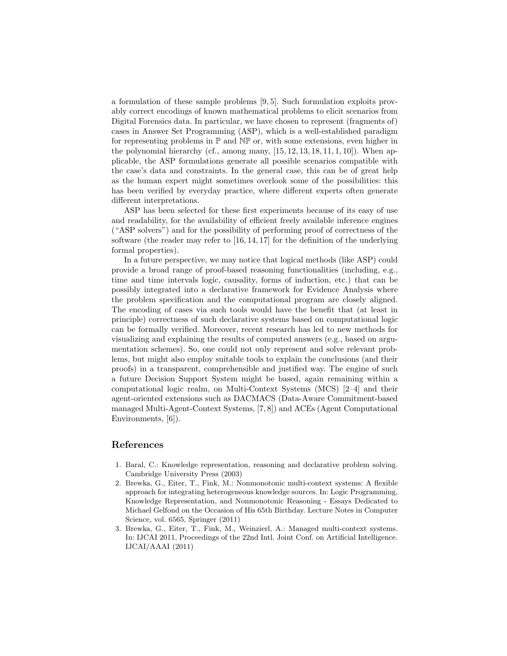a formulation of these sample problems [9, 5]. Such formulation exploits provably correct encodings of known mathematical problems to elicit scenarios from Digital Forensics data. In particular, we have chosen to represent (fragments of) cases in Answer Set Programming (ASP), which is a well-established paradigm for representing problems in  $\mathbb P$  and  $\mathbb N\mathbb P$  or, with some extensions, even higher in the polynomial hierarchy (cf., among many,  $[15, 12, 13, 18, 11, 1, 10]$ ). When applicable, the ASP formulations generate all possible scenarios compatible with the case's data and constraints. In the general case, this can be of great help as the human expert might sometimes overlook some of the possibilities: this has been verified by everyday practice, where different experts often generate different interpretations.

ASP has been selected for these first experiments because of its easy of use and readability, for the availability of efficient freely available inference engines ("ASP solvers") and for the possibility of performing proof of correctness of the software (the reader may refer to [16, 14, 17] for the definition of the underlying formal properties).

In a future perspective, we may notice that logical methods (like ASP) could provide a broad range of proof-based reasoning functionalities (including, e.g., time and time intervals logic, causality, forms of induction, etc.) that can be possibly integrated into a declarative framework for Evidence Analysis where the problem specification and the computational program are closely aligned. The encoding of cases via such tools would have the benefit that (at least in principle) correctness of such declarative systems based on computational logic can be formally verified. Moreover, recent research has led to new methods for visualizing and explaining the results of computed answers (e.g., based on argumentation schemes). So, one could not only represent and solve relevant problems, but might also employ suitable tools to explain the conclusions (and their proofs) in a transparent, comprehensible and justified way. The engine of such a future Decision Support System might be based, again remaining within a computational logic realm, on Multi-Context Systems (MCS) [2–4] and their agent-oriented extensions such as DACMACS (Data-Aware Commitment-based managed Multi-Agent-Context Systems, [7, 8]) and ACEs (Agent Computational Environments, [6]).

## References

- 1. Baral, C.: Knowledge representation, reasoning and declarative problem solving. Cambridge University Press (2003)
- 2. Brewka, G., Eiter, T., Fink, M.: Nonmonotonic multi-context systems: A flexible approach for integrating heterogeneous knowledge sources. In: Logic Programming, Knowledge Representation, and Nonmonotonic Reasoning - Essays Dedicated to Michael Gelfond on the Occasion of His 65th Birthday. Lecture Notes in Computer Science, vol. 6565, Springer (2011)
- 3. Brewka, G., Eiter, T., Fink, M., Weinzierl, A.: Managed multi-context systems. In: IJCAI 2011, Proceedings of the 22nd Intl. Joint Conf. on Artificial Intelligence. IJCAI/AAAI (2011)